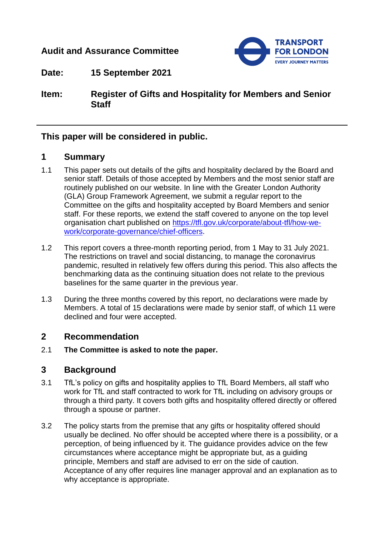# **Audit and Assurance Committee**



**Date: 15 September 2021**

**Item: Register of Gifts and Hospitality for Members and Senior Staff** 

## **This paper will be considered in public.**

# **1 Summary**

- 1.1 This paper sets out details of the gifts and hospitality declared by the Board and senior staff. Details of those accepted by Members and the most senior staff are routinely published on our website. In line with the Greater London Authority (GLA) Group Framework Agreement, we submit a regular report to the Committee on the gifts and hospitality accepted by Board Members and senior staff. For these reports, we extend the staff covered to anyone on the top level organisation chart published on [https://tfl.gov.uk/corporate/about-tfl/how-we](https://tfl.gov.uk/corporate/about-tfl/how-we-work/corporate-governance/chief-officers)[work/corporate-governance/chief-officers.](https://tfl.gov.uk/corporate/about-tfl/how-we-work/corporate-governance/chief-officers)
- 1.2 This report covers a three-month reporting period, from 1 May to 31 July 2021. The restrictions on travel and social distancing, to manage the coronavirus pandemic, resulted in relatively few offers during this period. This also affects the benchmarking data as the continuing situation does not relate to the previous baselines for the same quarter in the previous year.
- 1.3 During the three months covered by this report, no declarations were made by Members. A total of 15 declarations were made by senior staff, of which 11 were declined and four were accepted.

## **2 Recommendation**

2.1 **The Committee is asked to note the paper.**

# **3 Background**

- 3.1 TfL's policy on gifts and hospitality applies to TfL Board Members, all staff who work for TfL and staff contracted to work for TfL including on advisory groups or through a third party. It covers both gifts and hospitality offered directly or offered through a spouse or partner.
- 3.2 The policy starts from the premise that any gifts or hospitality offered should usually be declined. No offer should be accepted where there is a possibility, or a perception, of being influenced by it. The guidance provides advice on the few circumstances where acceptance might be appropriate but, as a guiding principle, Members and staff are advised to err on the side of caution. Acceptance of any offer requires line manager approval and an explanation as to why acceptance is appropriate.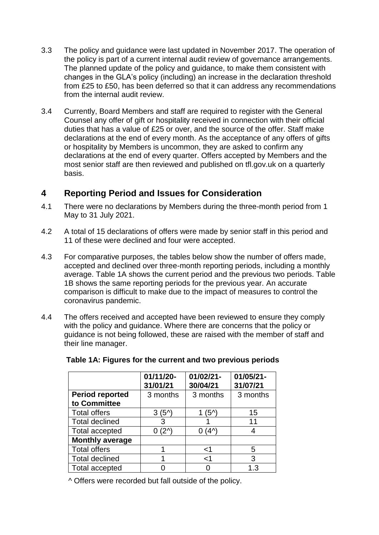- 3.3 The policy and guidance were last updated in November 2017. The operation of the policy is part of a current internal audit review of governance arrangements. The planned update of the policy and guidance, to make them consistent with changes in the GLA's policy (including) an increase in the declaration threshold from £25 to £50, has been deferred so that it can address any recommendations from the internal audit review.
- 3.4 Currently, Board Members and staff are required to register with the General Counsel any offer of gift or hospitality received in connection with their official duties that has a value of £25 or over, and the source of the offer. Staff make declarations at the end of every month. As the acceptance of any offers of gifts or hospitality by Members is uncommon, they are asked to confirm any declarations at the end of every quarter. Offers accepted by Members and the most senior staff are then reviewed and published on tfl.gov.uk on a quarterly basis.

# **4 Reporting Period and Issues for Consideration**

- 4.1 There were no declarations by Members during the three-month period from 1 May to 31 July 2021.
- 4.2 A total of 15 declarations of offers were made by senior staff in this period and 11 of these were declined and four were accepted.
- 4.3 For comparative purposes, the tables below show the number of offers made, accepted and declined over three-month reporting periods, including a monthly average. Table 1A shows the current period and the previous two periods. Table 1B shows the same reporting periods for the previous year. An accurate comparison is difficult to make due to the impact of measures to control the coronavirus pandemic.
- 4.4 The offers received and accepted have been reviewed to ensure they comply with the policy and guidance. Where there are concerns that the policy or guidance is not being followed, these are raised with the member of staff and their line manager.

|                                        | 01/11/20-<br>31/01/21 | $01/02/21 -$<br>30/04/21 | 01/05/21-<br>31/07/21 |
|----------------------------------------|-----------------------|--------------------------|-----------------------|
| <b>Period reported</b><br>to Committee | 3 months              | 3 months                 | 3 months              |
| <b>Total offers</b>                    | 3(5 <sup>0</sup> )    | $(5^{\prime})$           | 15                    |
| <b>Total declined</b>                  | 3                     |                          | 11                    |
| <b>Total accepted</b>                  | ⁄2)                   | 4 <sub>1</sub>           |                       |
| <b>Monthly average</b>                 |                       |                          |                       |
| <b>Total offers</b>                    |                       | $<$ 1                    | 5                     |
| <b>Total declined</b>                  |                       | $<$ 1                    | 3                     |
| <b>Total accepted</b>                  |                       |                          | 1.3                   |

**Table 1A: Figures for the current and two previous periods**

^ Offers were recorded but fall outside of the policy.